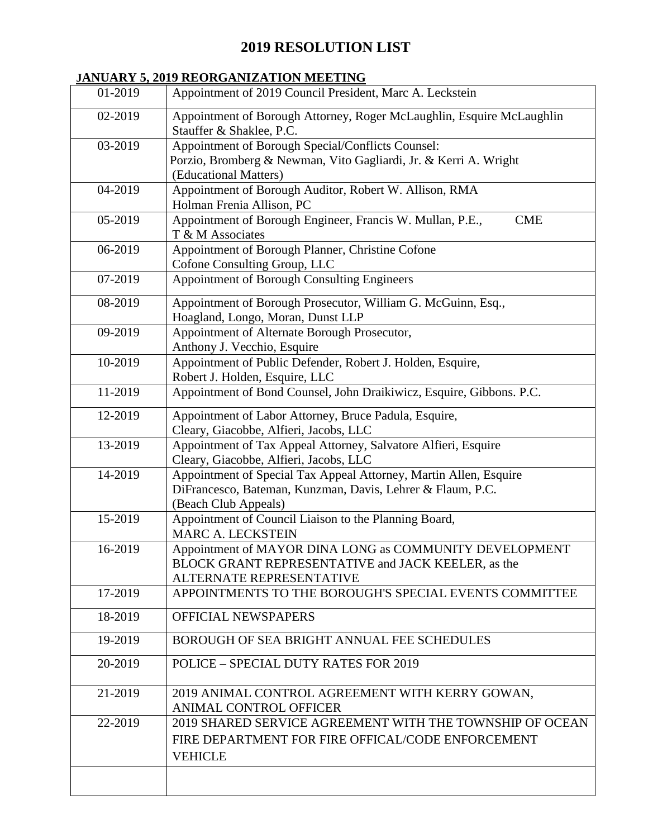# **2019 RESOLUTION LIST**

### **JANUARY 5, 2019 REORGANIZATION MEETING**

| 01-2019 | Appointment of 2019 Council President, Marc A. Leckstein                                                                                                |
|---------|---------------------------------------------------------------------------------------------------------------------------------------------------------|
| 02-2019 | Appointment of Borough Attorney, Roger McLaughlin, Esquire McLaughlin<br>Stauffer & Shaklee, P.C.                                                       |
| 03-2019 | Appointment of Borough Special/Conflicts Counsel:<br>Porzio, Bromberg & Newman, Vito Gagliardi, Jr. & Kerri A. Wright<br>(Educational Matters)          |
| 04-2019 | Appointment of Borough Auditor, Robert W. Allison, RMA<br>Holman Frenia Allison, PC                                                                     |
| 05-2019 | Appointment of Borough Engineer, Francis W. Mullan, P.E.,<br><b>CME</b><br>T & M Associates                                                             |
| 06-2019 | Appointment of Borough Planner, Christine Cofone<br>Cofone Consulting Group, LLC                                                                        |
| 07-2019 | Appointment of Borough Consulting Engineers                                                                                                             |
| 08-2019 | Appointment of Borough Prosecutor, William G. McGuinn, Esq.,<br>Hoagland, Longo, Moran, Dunst LLP                                                       |
| 09-2019 | Appointment of Alternate Borough Prosecutor,<br>Anthony J. Vecchio, Esquire                                                                             |
| 10-2019 | Appointment of Public Defender, Robert J. Holden, Esquire,<br>Robert J. Holden, Esquire, LLC                                                            |
| 11-2019 | Appointment of Bond Counsel, John Draikiwicz, Esquire, Gibbons. P.C.                                                                                    |
| 12-2019 | Appointment of Labor Attorney, Bruce Padula, Esquire,<br>Cleary, Giacobbe, Alfieri, Jacobs, LLC                                                         |
| 13-2019 | Appointment of Tax Appeal Attorney, Salvatore Alfieri, Esquire<br>Cleary, Giacobbe, Alfieri, Jacobs, LLC                                                |
| 14-2019 | Appointment of Special Tax Appeal Attorney, Martin Allen, Esquire<br>DiFrancesco, Bateman, Kunzman, Davis, Lehrer & Flaum, P.C.<br>(Beach Club Appeals) |
| 15-2019 | Appointment of Council Liaison to the Planning Board,<br><b>MARC A. LECKSTEIN</b>                                                                       |
| 16-2019 | Appointment of MAYOR DINA LONG as COMMUNITY DEVELOPMENT<br>BLOCK GRANT REPRESENTATIVE and JACK KEELER, as the<br>ALTERNATE REPRESENTATIVE               |
| 17-2019 | APPOINTMENTS TO THE BOROUGH'S SPECIAL EVENTS COMMITTEE                                                                                                  |
| 18-2019 | <b>OFFICIAL NEWSPAPERS</b>                                                                                                                              |
| 19-2019 | BOROUGH OF SEA BRIGHT ANNUAL FEE SCHEDULES                                                                                                              |
| 20-2019 | POLICE - SPECIAL DUTY RATES FOR 2019                                                                                                                    |
| 21-2019 | 2019 ANIMAL CONTROL AGREEMENT WITH KERRY GOWAN,<br><b>ANIMAL CONTROL OFFICER</b>                                                                        |
| 22-2019 | 2019 SHARED SERVICE AGREEMENT WITH THE TOWNSHIP OF OCEAN<br>FIRE DEPARTMENT FOR FIRE OFFICAL/CODE ENFORCEMENT<br><b>VEHICLE</b>                         |
|         |                                                                                                                                                         |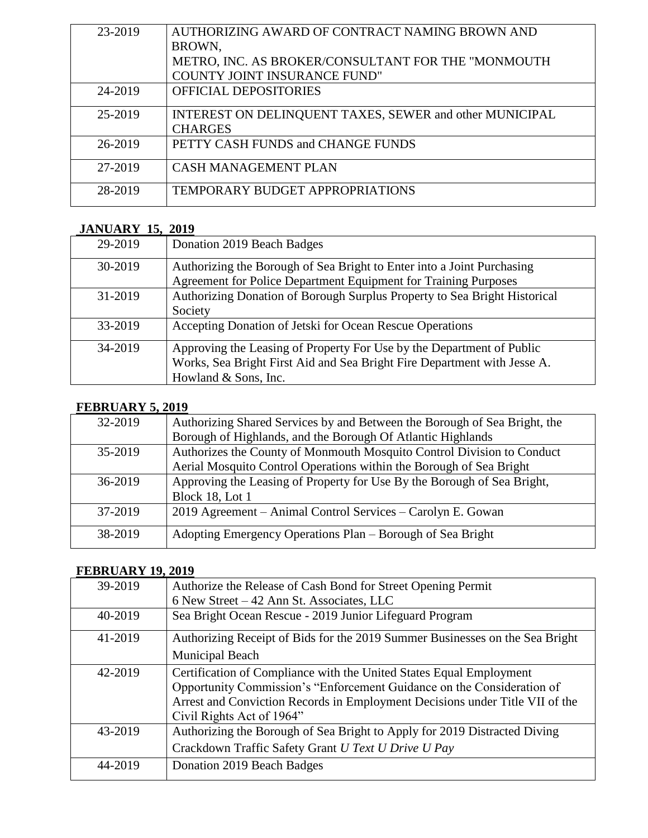| 23-2019 | AUTHORIZING AWARD OF CONTRACT NAMING BROWN AND                 |
|---------|----------------------------------------------------------------|
|         | BROWN,                                                         |
|         | METRO, INC. AS BROKER/CONSULTANT FOR THE "MONMOUTH             |
|         | <b>COUNTY JOINT INSURANCE FUND"</b>                            |
| 24-2019 | <b>OFFICIAL DEPOSITORIES</b>                                   |
|         |                                                                |
| 25-2019 | <b>INTEREST ON DELINQUENT TAXES, SEWER and other MUNICIPAL</b> |
|         | <b>CHARGES</b>                                                 |
| 26-2019 | PETTY CASH FUNDS and CHANGE FUNDS                              |
|         |                                                                |
| 27-2019 | <b>CASH MANAGEMENT PLAN</b>                                    |
|         |                                                                |
| 28-2019 | TEMPORARY BUDGET APPROPRIATIONS                                |
|         |                                                                |

## **JANUARY 15, 2019**

| 29-2019 | Donation 2019 Beach Badges                                                                                                                                                |
|---------|---------------------------------------------------------------------------------------------------------------------------------------------------------------------------|
| 30-2019 | Authorizing the Borough of Sea Bright to Enter into a Joint Purchasing<br>Agreement for Police Department Equipment for Training Purposes                                 |
| 31-2019 | Authorizing Donation of Borough Surplus Property to Sea Bright Historical<br>Society                                                                                      |
| 33-2019 | Accepting Donation of Jetski for Ocean Rescue Operations                                                                                                                  |
| 34-2019 | Approving the Leasing of Property For Use by the Department of Public<br>Works, Sea Bright First Aid and Sea Bright Fire Department with Jesse A.<br>Howland & Sons, Inc. |

#### **FEBRUARY 5, 2019**

| 32-2019 | Authorizing Shared Services by and Between the Borough of Sea Bright, the |
|---------|---------------------------------------------------------------------------|
|         | Borough of Highlands, and the Borough Of Atlantic Highlands               |
| 35-2019 | Authorizes the County of Monmouth Mosquito Control Division to Conduct    |
|         | Aerial Mosquito Control Operations within the Borough of Sea Bright       |
| 36-2019 | Approving the Leasing of Property for Use By the Borough of Sea Bright,   |
|         | Block 18, Lot 1                                                           |
| 37-2019 | 2019 Agreement – Animal Control Services – Carolyn E. Gowan               |
| 38-2019 | Adopting Emergency Operations Plan – Borough of Sea Bright                |

#### **FEBRUARY 19, 2019**

| Authorize the Release of Cash Bond for Street Opening Permit                 |
|------------------------------------------------------------------------------|
| 6 New Street – 42 Ann St. Associates, LLC                                    |
| Sea Bright Ocean Rescue - 2019 Junior Lifeguard Program                      |
| Authorizing Receipt of Bids for the 2019 Summer Businesses on the Sea Bright |
| <b>Municipal Beach</b>                                                       |
| Certification of Compliance with the United States Equal Employment          |
| Opportunity Commission's "Enforcement Guidance on the Consideration of       |
| Arrest and Conviction Records in Employment Decisions under Title VII of the |
| Civil Rights Act of 1964"                                                    |
| Authorizing the Borough of Sea Bright to Apply for 2019 Distracted Diving    |
| Crackdown Traffic Safety Grant U Text U Drive U Pay                          |
| Donation 2019 Beach Badges                                                   |
|                                                                              |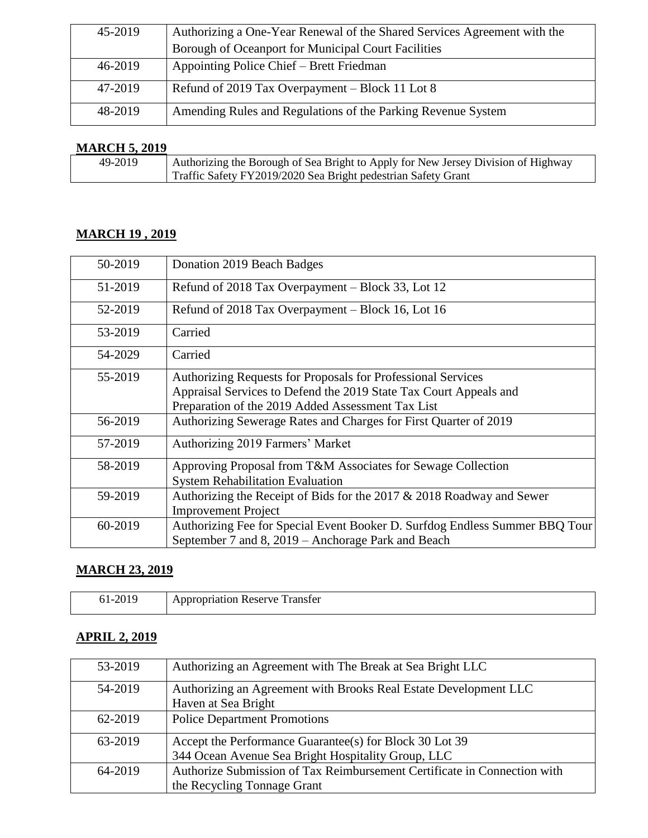| 45-2019 | Authorizing a One-Year Renewal of the Shared Services Agreement with the |
|---------|--------------------------------------------------------------------------|
|         | Borough of Oceanport for Municipal Court Facilities                      |
| 46-2019 | Appointing Police Chief – Brett Friedman                                 |
| 47-2019 | Refund of 2019 Tax Overpayment – Block 11 Lot 8                          |
| 48-2019 | Amending Rules and Regulations of the Parking Revenue System             |

### **MARCH 5, 2019**

| 49-2019 | Authorizing the Borough of Sea Bright to Apply for New Jersey Division of Highway |
|---------|-----------------------------------------------------------------------------------|
|         | Traffic Safety FY2019/2020 Sea Bright pedestrian Safety Grant                     |

### **MARCH 19 , 2019**

| 50-2019 | Donation 2019 Beach Badges                                                                                                                                                             |
|---------|----------------------------------------------------------------------------------------------------------------------------------------------------------------------------------------|
| 51-2019 | Refund of 2018 Tax Overpayment – Block 33, Lot 12                                                                                                                                      |
| 52-2019 | Refund of 2018 Tax Overpayment – Block 16, Lot 16                                                                                                                                      |
| 53-2019 | Carried                                                                                                                                                                                |
| 54-2029 | Carried                                                                                                                                                                                |
| 55-2019 | Authorizing Requests for Proposals for Professional Services<br>Appraisal Services to Defend the 2019 State Tax Court Appeals and<br>Preparation of the 2019 Added Assessment Tax List |
| 56-2019 | Authorizing Sewerage Rates and Charges for First Quarter of 2019                                                                                                                       |
| 57-2019 | Authorizing 2019 Farmers' Market                                                                                                                                                       |
| 58-2019 | Approving Proposal from T&M Associates for Sewage Collection<br><b>System Rehabilitation Evaluation</b>                                                                                |
| 59-2019 | Authorizing the Receipt of Bids for the 2017 & 2018 Roadway and Sewer<br><b>Improvement Project</b>                                                                                    |
| 60-2019 | Authorizing Fee for Special Event Booker D. Surfdog Endless Summer BBQ Tour<br>September 7 and 8, 2019 – Anchorage Park and Beach                                                      |

#### **MARCH 23, 2019**

| 201   | ppropriation    |
|-------|-----------------|
| υı    | Transfer        |
| '∠∪ 1 | $\cdot$ Reserve |

# **APRIL 2, 2019**

| 53-2019 | Authorizing an Agreement with The Break at Sea Bright LLC                                                     |
|---------|---------------------------------------------------------------------------------------------------------------|
| 54-2019 | Authorizing an Agreement with Brooks Real Estate Development LLC<br>Haven at Sea Bright                       |
| 62-2019 | <b>Police Department Promotions</b>                                                                           |
| 63-2019 | Accept the Performance Guarantee(s) for Block 30 Lot 39<br>344 Ocean Avenue Sea Bright Hospitality Group, LLC |
| 64-2019 | Authorize Submission of Tax Reimbursement Certificate in Connection with<br>the Recycling Tonnage Grant       |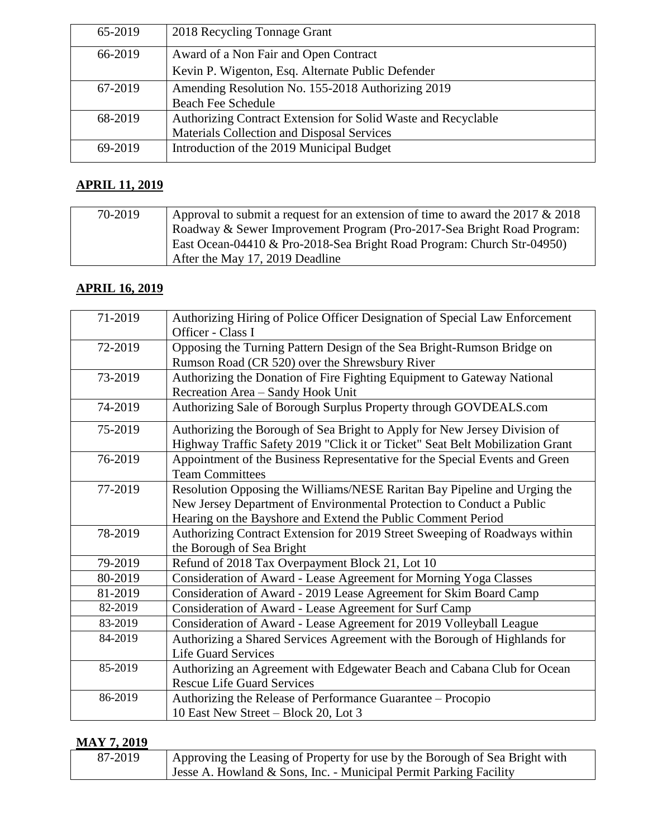| 2018 Recycling Tonnage Grant                                  |
|---------------------------------------------------------------|
| Award of a Non Fair and Open Contract                         |
| Kevin P. Wigenton, Esq. Alternate Public Defender             |
| Amending Resolution No. 155-2018 Authorizing 2019             |
| <b>Beach Fee Schedule</b>                                     |
| Authorizing Contract Extension for Solid Waste and Recyclable |
| Materials Collection and Disposal Services                    |
| Introduction of the 2019 Municipal Budget                     |
|                                                               |

#### **APRIL 11, 2019**

| 70-2019 | Approval to submit a request for an extension of time to award the 2017 $& 2018$ |
|---------|----------------------------------------------------------------------------------|
|         | Roadway & Sewer Improvement Program (Pro-2017-Sea Bright Road Program:           |
|         | East Ocean-04410 & Pro-2018-Sea Bright Road Program: Church Str-04950)           |
|         | After the May 17, 2019 Deadline                                                  |

## **APRIL 16, 2019**

| 71-2019 | Authorizing Hiring of Police Officer Designation of Special Law Enforcement   |
|---------|-------------------------------------------------------------------------------|
|         | Officer - Class I                                                             |
| 72-2019 | Opposing the Turning Pattern Design of the Sea Bright-Rumson Bridge on        |
|         | Rumson Road (CR 520) over the Shrewsbury River                                |
| 73-2019 | Authorizing the Donation of Fire Fighting Equipment to Gateway National       |
|         |                                                                               |
|         | Recreation Area - Sandy Hook Unit                                             |
| 74-2019 | Authorizing Sale of Borough Surplus Property through GOVDEALS.com             |
| 75-2019 | Authorizing the Borough of Sea Bright to Apply for New Jersey Division of     |
|         | Highway Traffic Safety 2019 "Click it or Ticket" Seat Belt Mobilization Grant |
| 76-2019 | Appointment of the Business Representative for the Special Events and Green   |
|         | <b>Team Committees</b>                                                        |
| 77-2019 | Resolution Opposing the Williams/NESE Raritan Bay Pipeline and Urging the     |
|         | New Jersey Department of Environmental Protection to Conduct a Public         |
|         |                                                                               |
|         | Hearing on the Bayshore and Extend the Public Comment Period                  |
| 78-2019 | Authorizing Contract Extension for 2019 Street Sweeping of Roadways within    |
|         | the Borough of Sea Bright                                                     |
| 79-2019 | Refund of 2018 Tax Overpayment Block 21, Lot 10                               |
| 80-2019 | Consideration of Award - Lease Agreement for Morning Yoga Classes             |
| 81-2019 | Consideration of Award - 2019 Lease Agreement for Skim Board Camp             |
| 82-2019 | Consideration of Award - Lease Agreement for Surf Camp                        |
| 83-2019 | Consideration of Award - Lease Agreement for 2019 Volleyball League           |
| 84-2019 | Authorizing a Shared Services Agreement with the Borough of Highlands for     |
|         | <b>Life Guard Services</b>                                                    |
| 85-2019 | Authorizing an Agreement with Edgewater Beach and Cabana Club for Ocean       |
|         | <b>Rescue Life Guard Services</b>                                             |
| 86-2019 | Authorizing the Release of Performance Guarantee - Procopio                   |
|         |                                                                               |
|         | 10 East New Street – Block 20, Lot 3                                          |

#### **MAY 7, 2019**

| 87-2019 | Approving the Leasing of Property for use by the Borough of Sea Bright with |
|---------|-----------------------------------------------------------------------------|
|         | Jesse A. Howland & Sons, Inc. - Municipal Permit Parking Facility           |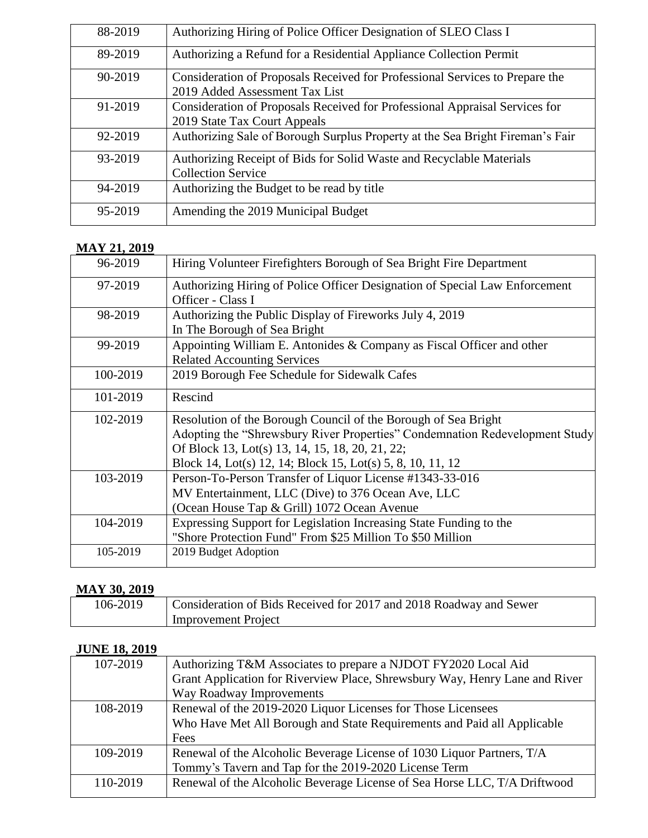| 88-2019 | Authorizing Hiring of Police Officer Designation of SLEO Class I                                               |
|---------|----------------------------------------------------------------------------------------------------------------|
| 89-2019 | Authorizing a Refund for a Residential Appliance Collection Permit                                             |
| 90-2019 | Consideration of Proposals Received for Professional Services to Prepare the<br>2019 Added Assessment Tax List |
| 91-2019 | Consideration of Proposals Received for Professional Appraisal Services for<br>2019 State Tax Court Appeals    |
| 92-2019 | Authorizing Sale of Borough Surplus Property at the Sea Bright Fireman's Fair                                  |
| 93-2019 | Authorizing Receipt of Bids for Solid Waste and Recyclable Materials<br><b>Collection Service</b>              |
| 94-2019 | Authorizing the Budget to be read by title                                                                     |
| 95-2019 | Amending the 2019 Municipal Budget                                                                             |

#### **MAY 21, 2019**

| 96-2019  | Hiring Volunteer Firefighters Borough of Sea Bright Fire Department         |
|----------|-----------------------------------------------------------------------------|
| 97-2019  | Authorizing Hiring of Police Officer Designation of Special Law Enforcement |
|          | Officer - Class I                                                           |
| 98-2019  | Authorizing the Public Display of Fireworks July 4, 2019                    |
|          | In The Borough of Sea Bright                                                |
| 99-2019  | Appointing William E. Antonides & Company as Fiscal Officer and other       |
|          | <b>Related Accounting Services</b>                                          |
| 100-2019 | 2019 Borough Fee Schedule for Sidewalk Cafes                                |
| 101-2019 | Rescind                                                                     |
| 102-2019 | Resolution of the Borough Council of the Borough of Sea Bright              |
|          | Adopting the "Shrewsbury River Properties" Condemnation Redevelopment Study |
|          | Of Block 13, Lot(s) 13, 14, 15, 18, 20, 21, 22;                             |
|          | Block 14, Lot(s) 12, 14; Block 15, Lot(s) 5, 8, 10, 11, 12                  |
| 103-2019 | Person-To-Person Transfer of Liquor License #1343-33-016                    |
|          | MV Entertainment, LLC (Dive) to 376 Ocean Ave, LLC                          |
|          | (Ocean House Tap & Grill) 1072 Ocean Avenue                                 |
| 104-2019 | Expressing Support for Legislation Increasing State Funding to the          |
|          | "Shore Protection Fund" From \$25 Million To \$50 Million                   |
| 105-2019 | 2019 Budget Adoption                                                        |
|          |                                                                             |

## **MAY 30, 2019**

| 106-2019 | Consideration of Bids Received for 2017 and 2018 Roadway and Sewer |
|----------|--------------------------------------------------------------------|
|          | <b>Improvement Project</b>                                         |

# **JUNE 18, 2019**

| 107-2019 | Authorizing T&M Associates to prepare a NJDOT FY2020 Local Aid              |
|----------|-----------------------------------------------------------------------------|
|          | Grant Application for Riverview Place, Shrewsbury Way, Henry Lane and River |
|          | Way Roadway Improvements                                                    |
| 108-2019 | Renewal of the 2019-2020 Liquor Licenses for Those Licensees                |
|          | Who Have Met All Borough and State Requirements and Paid all Applicable     |
|          | Fees                                                                        |
| 109-2019 | Renewal of the Alcoholic Beverage License of 1030 Liquor Partners, T/A      |
|          | Tommy's Tavern and Tap for the 2019-2020 License Term                       |
| 110-2019 | Renewal of the Alcoholic Beverage License of Sea Horse LLC, T/A Driftwood   |
|          |                                                                             |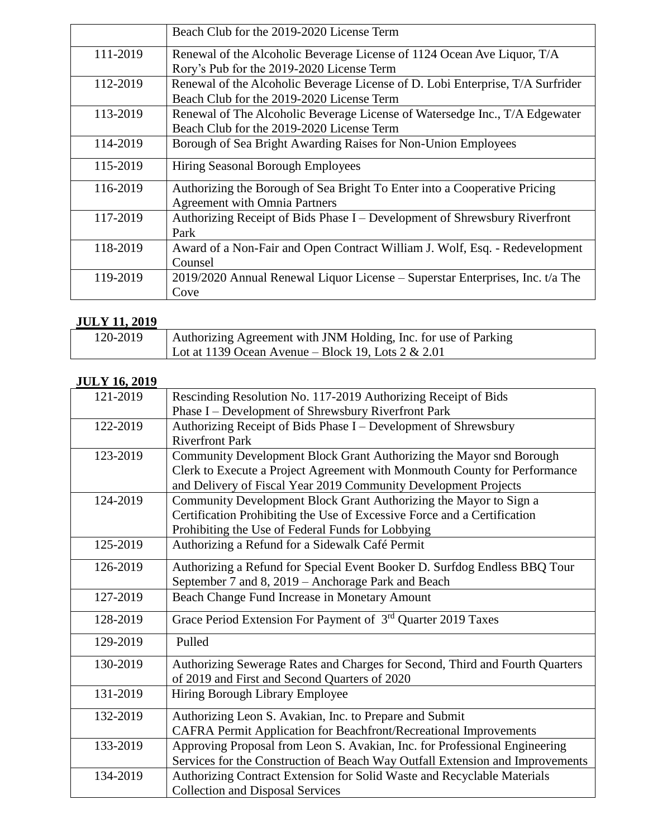|          | Beach Club for the 2019-2020 License Term                                       |
|----------|---------------------------------------------------------------------------------|
| 111-2019 | Renewal of the Alcoholic Beverage License of 1124 Ocean Ave Liquor, T/A         |
|          | Rory's Pub for the 2019-2020 License Term                                       |
| 112-2019 | Renewal of the Alcoholic Beverage License of D. Lobi Enterprise, T/A Surfrider  |
|          | Beach Club for the 2019-2020 License Term                                       |
| 113-2019 | Renewal of The Alcoholic Beverage License of Watersedge Inc., T/A Edgewater     |
|          | Beach Club for the 2019-2020 License Term                                       |
| 114-2019 | Borough of Sea Bright Awarding Raises for Non-Union Employees                   |
| 115-2019 | <b>Hiring Seasonal Borough Employees</b>                                        |
| 116-2019 | Authorizing the Borough of Sea Bright To Enter into a Cooperative Pricing       |
|          | <b>Agreement with Omnia Partners</b>                                            |
| 117-2019 | Authorizing Receipt of Bids Phase I – Development of Shrewsbury Riverfront      |
|          | Park                                                                            |
| 118-2019 | Award of a Non-Fair and Open Contract William J. Wolf, Esq. - Redevelopment     |
|          | Counsel                                                                         |
| 119-2019 | $2019/2020$ Annual Renewal Liquor License – Superstar Enterprises, Inc. t/a The |
|          | Cove                                                                            |

### **JULY 11, 2019**

| 120-2019 | Authorizing Agreement with JNM Holding, Inc. for use of Parking |
|----------|-----------------------------------------------------------------|
|          | Lot at 1139 Ocean Avenue – Block 19, Lots $2 \& 2.01$           |

### **JULY 16, 2019**

| 121-2019 | Rescinding Resolution No. 117-2019 Authorizing Receipt of Bids                |
|----------|-------------------------------------------------------------------------------|
|          | Phase I – Development of Shrewsbury Riverfront Park                           |
| 122-2019 | Authorizing Receipt of Bids Phase I – Development of Shrewsbury               |
|          | <b>Riverfront Park</b>                                                        |
| 123-2019 | Community Development Block Grant Authorizing the Mayor snd Borough           |
|          | Clerk to Execute a Project Agreement with Monmouth County for Performance     |
|          | and Delivery of Fiscal Year 2019 Community Development Projects               |
| 124-2019 | Community Development Block Grant Authorizing the Mayor to Sign a             |
|          | Certification Prohibiting the Use of Excessive Force and a Certification      |
|          | Prohibiting the Use of Federal Funds for Lobbying                             |
| 125-2019 | Authorizing a Refund for a Sidewalk Café Permit                               |
| 126-2019 | Authorizing a Refund for Special Event Booker D. Surfdog Endless BBQ Tour     |
|          | September 7 and 8, 2019 - Anchorage Park and Beach                            |
| 127-2019 | Beach Change Fund Increase in Monetary Amount                                 |
| 128-2019 | Grace Period Extension For Payment of 3 <sup>rd</sup> Quarter 2019 Taxes      |
| 129-2019 | Pulled                                                                        |
| 130-2019 | Authorizing Sewerage Rates and Charges for Second, Third and Fourth Quarters  |
|          | of 2019 and First and Second Quarters of 2020                                 |
| 131-2019 | Hiring Borough Library Employee                                               |
| 132-2019 | Authorizing Leon S. Avakian, Inc. to Prepare and Submit                       |
|          | CAFRA Permit Application for Beachfront/Recreational Improvements             |
| 133-2019 | Approving Proposal from Leon S. Avakian, Inc. for Professional Engineering    |
|          | Services for the Construction of Beach Way Outfall Extension and Improvements |
| 134-2019 | Authorizing Contract Extension for Solid Waste and Recyclable Materials       |
|          | <b>Collection and Disposal Services</b>                                       |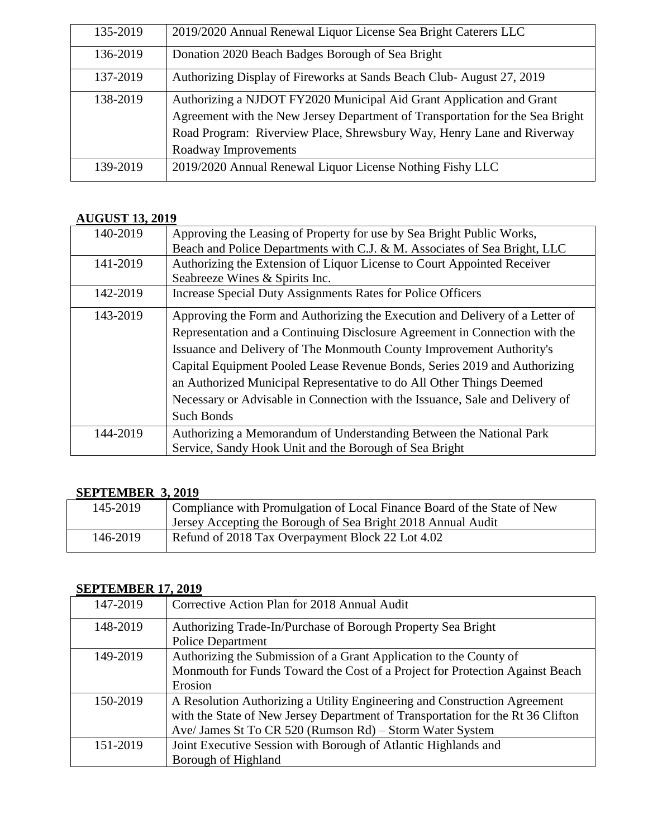| 135-2019 | 2019/2020 Annual Renewal Liquor License Sea Bright Caterers LLC               |
|----------|-------------------------------------------------------------------------------|
| 136-2019 | Donation 2020 Beach Badges Borough of Sea Bright                              |
| 137-2019 | Authorizing Display of Fireworks at Sands Beach Club-August 27, 2019          |
| 138-2019 | Authorizing a NJDOT FY2020 Municipal Aid Grant Application and Grant          |
|          | Agreement with the New Jersey Department of Transportation for the Sea Bright |
|          | Road Program: Riverview Place, Shrewsbury Way, Henry Lane and Riverway        |
|          | Roadway Improvements                                                          |
| 139-2019 | 2019/2020 Annual Renewal Liquor License Nothing Fishy LLC                     |
|          |                                                                               |

## **AUGUST 13, 2019**

| 140-2019 | Approving the Leasing of Property for use by Sea Bright Public Works,        |
|----------|------------------------------------------------------------------------------|
|          | Beach and Police Departments with C.J. & M. Associates of Sea Bright, LLC    |
| 141-2019 | Authorizing the Extension of Liquor License to Court Appointed Receiver      |
|          | Seabreeze Wines & Spirits Inc.                                               |
| 142-2019 | Increase Special Duty Assignments Rates for Police Officers                  |
| 143-2019 | Approving the Form and Authorizing the Execution and Delivery of a Letter of |
|          | Representation and a Continuing Disclosure Agreement in Connection with the  |
|          | Issuance and Delivery of The Monmouth County Improvement Authority's         |
|          | Capital Equipment Pooled Lease Revenue Bonds, Series 2019 and Authorizing    |
|          | an Authorized Municipal Representative to do All Other Things Deemed         |
|          | Necessary or Advisable in Connection with the Issuance, Sale and Delivery of |
|          | <b>Such Bonds</b>                                                            |
| 144-2019 | Authorizing a Memorandum of Understanding Between the National Park          |
|          | Service, Sandy Hook Unit and the Borough of Sea Bright                       |

#### **SEPTEMBER 3, 2019**

| 145-2019 | Compliance with Promulgation of Local Finance Board of the State of New |
|----------|-------------------------------------------------------------------------|
|          | Jersey Accepting the Borough of Sea Bright 2018 Annual Audit            |
| 146-2019 | Refund of 2018 Tax Overpayment Block 22 Lot 4.02                        |

#### **SEPTEMBER 17, 2019**

| 147-2019 | Corrective Action Plan for 2018 Annual Audit                                    |
|----------|---------------------------------------------------------------------------------|
| 148-2019 | Authorizing Trade-In/Purchase of Borough Property Sea Bright                    |
|          | <b>Police Department</b>                                                        |
| 149-2019 | Authorizing the Submission of a Grant Application to the County of              |
|          | Monmouth for Funds Toward the Cost of a Project for Protection Against Beach    |
|          | Erosion                                                                         |
| 150-2019 | A Resolution Authorizing a Utility Engineering and Construction Agreement       |
|          | with the State of New Jersey Department of Transportation for the Rt 36 Clifton |
|          | Ave/ James St To CR 520 (Rumson Rd) – Storm Water System                        |
| 151-2019 | Joint Executive Session with Borough of Atlantic Highlands and                  |
|          | Borough of Highland                                                             |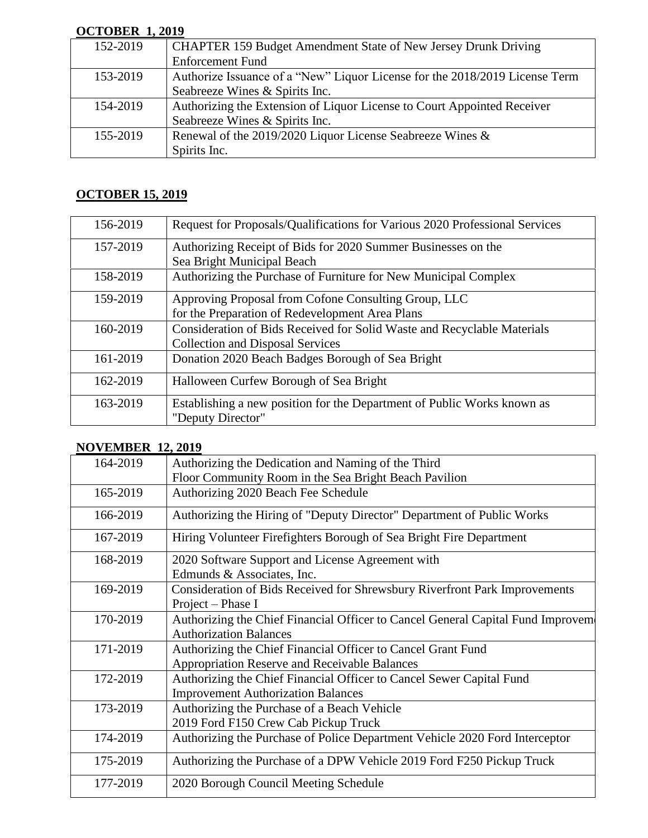### **OCTOBER 1, 2019**

| 152-2019 | <b>CHAPTER 159 Budget Amendment State of New Jersey Drunk Driving</b>       |
|----------|-----------------------------------------------------------------------------|
|          | <b>Enforcement Fund</b>                                                     |
| 153-2019 | Authorize Issuance of a "New" Liquor License for the 2018/2019 License Term |
|          | Seabreeze Wines & Spirits Inc.                                              |
| 154-2019 | Authorizing the Extension of Liquor License to Court Appointed Receiver     |
|          | Seabreeze Wines & Spirits Inc.                                              |
| 155-2019 | Renewal of the 2019/2020 Liquor License Seabreeze Wines &                   |
|          | Spirits Inc.                                                                |

### **OCTOBER 15, 2019**

| 156-2019 | Request for Proposals/Qualifications for Various 2020 Professional Services                                        |
|----------|--------------------------------------------------------------------------------------------------------------------|
| 157-2019 | Authorizing Receipt of Bids for 2020 Summer Businesses on the<br>Sea Bright Municipal Beach                        |
| 158-2019 | Authorizing the Purchase of Furniture for New Municipal Complex                                                    |
| 159-2019 | Approving Proposal from Cofone Consulting Group, LLC<br>for the Preparation of Redevelopment Area Plans            |
| 160-2019 | Consideration of Bids Received for Solid Waste and Recyclable Materials<br><b>Collection and Disposal Services</b> |
| 161-2019 | Donation 2020 Beach Badges Borough of Sea Bright                                                                   |
| 162-2019 | Halloween Curfew Borough of Sea Bright                                                                             |
| 163-2019 | Establishing a new position for the Department of Public Works known as<br>"Deputy Director"                       |

#### **NOVEMBER 12, 2019**

| 164-2019 | Authorizing the Dedication and Naming of the Third                              |
|----------|---------------------------------------------------------------------------------|
|          | Floor Community Room in the Sea Bright Beach Pavilion                           |
| 165-2019 | Authorizing 2020 Beach Fee Schedule                                             |
| 166-2019 | Authorizing the Hiring of "Deputy Director" Department of Public Works          |
| 167-2019 | Hiring Volunteer Firefighters Borough of Sea Bright Fire Department             |
| 168-2019 | 2020 Software Support and License Agreement with                                |
|          | Edmunds & Associates, Inc.                                                      |
| 169-2019 | Consideration of Bids Received for Shrewsbury Riverfront Park Improvements      |
|          | Project – Phase I                                                               |
| 170-2019 | Authorizing the Chief Financial Officer to Cancel General Capital Fund Improvem |
|          | <b>Authorization Balances</b>                                                   |
| 171-2019 | Authorizing the Chief Financial Officer to Cancel Grant Fund                    |
|          | Appropriation Reserve and Receivable Balances                                   |
| 172-2019 | Authorizing the Chief Financial Officer to Cancel Sewer Capital Fund            |
|          | <b>Improvement Authorization Balances</b>                                       |
| 173-2019 | Authorizing the Purchase of a Beach Vehicle                                     |
|          | 2019 Ford F150 Crew Cab Pickup Truck                                            |
| 174-2019 | Authorizing the Purchase of Police Department Vehicle 2020 Ford Interceptor     |
| 175-2019 | Authorizing the Purchase of a DPW Vehicle 2019 Ford F250 Pickup Truck           |
| 177-2019 | 2020 Borough Council Meeting Schedule                                           |